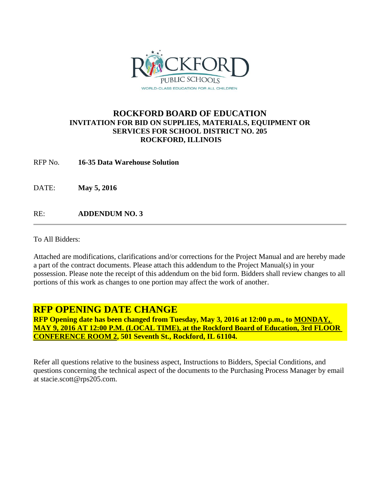

# **ROCKFORD BOARD OF EDUCATION INVITATION FOR BID ON SUPPLIES, MATERIALS, EQUIPMENT OR SERVICES FOR SCHOOL DISTRICT NO. 205 ROCKFORD, ILLINOIS**

RFP No. **16-35 Data Warehouse Solution**

DATE: **May 5, 2016**

RE: **ADDENDUM NO. 3**

To All Bidders:

Attached are modifications, clarifications and/or corrections for the Project Manual and are hereby made a part of the contract documents. Please attach this addendum to the Project Manual(s) in your possession. Please note the receipt of this addendum on the bid form. Bidders shall review changes to all portions of this work as changes to one portion may affect the work of another.

# **RFP OPENING DATE CHANGE**

**RFP Opening date has been changed from Tuesday, May 3, 2016 at 12:00 p.m., to MONDAY, MAY 9, 2016 AT 12:00 P.M. (LOCAL TIME), at the Rockford Board of Education, 3rd FLOOR CONFERENCE ROOM 2, 501 Seventh St., Rockford, IL 61104.**

Refer all questions relative to the business aspect, Instructions to Bidders, Special Conditions, and questions concerning the technical aspect of the documents to the Purchasing Process Manager by email at stacie.scott@rps205.com.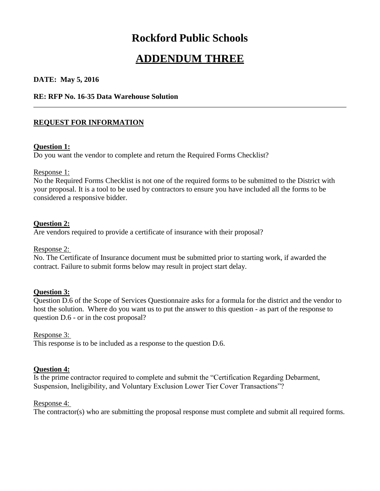# **Rockford Public Schools**

# **ADDENDUM THREE**

## **DATE: May 5, 2016**

#### **RE: RFP No. 16-35 Data Warehouse Solution**

# **REQUEST FOR INFORMATION**

#### **Question 1:**

Do you want the vendor to complete and return the Required Forms Checklist?

## Response 1:

No the Required Forms Checklist is not one of the required forms to be submitted to the District with your proposal. It is a tool to be used by contractors to ensure you have included all the forms to be considered a responsive bidder.

## **Question 2:**

Are vendors required to provide a certificate of insurance with their proposal?

#### Response 2:

No. The Certificate of Insurance document must be submitted prior to starting work, if awarded the contract. Failure to submit forms below may result in project start delay.

## **Question 3:**

Question D.6 of the Scope of Services Questionnaire asks for a formula for the district and the vendor to host the solution. Where do you want us to put the answer to this question - as part of the response to question D.6 - or in the cost proposal?

#### Response 3:

This response is to be included as a response to the question D.6.

#### **Question 4:**

Is the prime contractor required to complete and submit the "Certification Regarding Debarment, Suspension, Ineligibility, and Voluntary Exclusion Lower Tier Cover Transactions"?

#### Response 4:

The contractor(s) who are submitting the proposal response must complete and submit all required forms.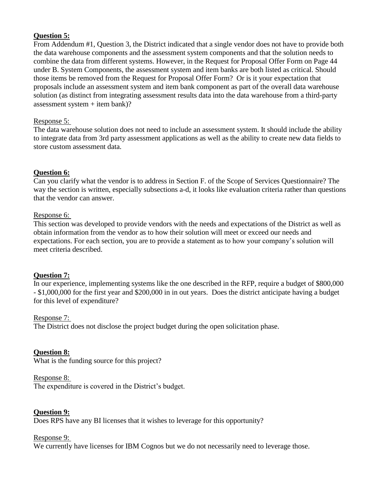# **Question 5:**

From Addendum #1, Question 3, the District indicated that a single vendor does not have to provide both the data warehouse components and the assessment system components and that the solution needs to combine the data from different systems. However, in the Request for Proposal Offer Form on Page 44 under B. System Components, the assessment system and item banks are both listed as critical. Should those items be removed from the Request for Proposal Offer Form? Or is it your expectation that proposals include an assessment system and item bank component as part of the overall data warehouse solution (as distinct from integrating assessment results data into the data warehouse from a third-party assessment system + item bank)?

# Response 5:

The data warehouse solution does not need to include an assessment system. It should include the ability to integrate data from 3rd party assessment applications as well as the ability to create new data fields to store custom assessment data.

# **Question 6:**

Can you clarify what the vendor is to address in Section F. of the Scope of Services Questionnaire? The way the section is written, especially subsections a-d, it looks like evaluation criteria rather than questions that the vendor can answer.

## Response 6:

This section was developed to provide vendors with the needs and expectations of the District as well as obtain information from the vendor as to how their solution will meet or exceed our needs and expectations. For each section, you are to provide a statement as to how your company's solution will meet criteria described.

# **Question 7:**

In our experience, implementing systems like the one described in the RFP, require a budget of \$800,000 - \$1,000,000 for the first year and \$200,000 in in out years. Does the district anticipate having a budget for this level of expenditure?

## Response 7:

The District does not disclose the project budget during the open solicitation phase.

## **Question 8:**

What is the funding source for this project?

## Response 8:

The expenditure is covered in the District's budget.

## **Question 9:**

Does RPS have any BI licenses that it wishes to leverage for this opportunity?

#### Response 9:

We currently have licenses for IBM Cognos but we do not necessarily need to leverage those.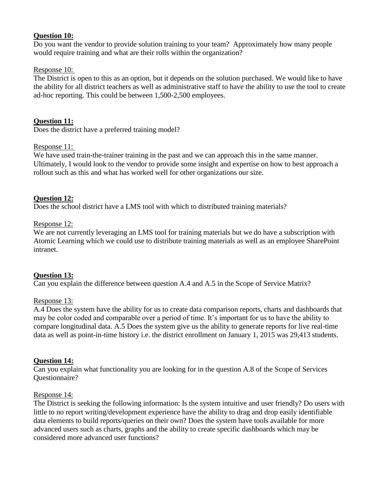# **Question 10:**

Do you want the vendor to provide solution training to your team? Approximately how many people would require training and what are their rolls within the organization?

## Response 10:

The District is open to this as an option, but it depends on the solution purchased. We would like to have the ability for all district teachers as well as administrative staff to have the ability to use the tool to create ad-hoc reporting. This could be between 1,500-2,500 employees.

# **Question 11:**

Does the district have a preferred training model?

## Response 11:

We have used train-the-trainer training in the past and we can approach this in the same manner. Ultimately, I would look to the vendor to provide some insight and expertise on how to best approach a rollout such as this and what has worked well for other organizations our size.

## **Question 12:**

Does the school district have a LMS tool with which to distributed training materials?

## Response 12:

We are not currently leveraging an LMS tool for training materials but we do have a subscription with Atomic Learning which we could use to distribute training materials as well as an employee SharePoint intranet.

## **Question 13:**

Can you explain the difference between question A.4 and A.5 in the Scope of Service Matrix?

#### Response 13:

A.4 Does the system have the ability for us to create data comparison reports, charts and dashboards that may be color coded and comparable over a period of time. It's important for us to have the ability to compare longitudinal data. A.5 Does the system give us the ability to generate reports for live real-time data as well as point-in-time history i.e. the district enrollment on January 1, 2015 was 29,413 students.

#### **Question 14:**

Can you explain what functionality you are looking for in the question A.8 of the Scope of Services Questionnaire?

#### Response 14:

The District is seeking the following information: Is the system intuitive and user friendly? Do users with little to no report writing/development experience have the ability to drag and drop easily identifiable data elements to build reports/queries on their own? Does the system have tools available for more advanced users such as charts, graphs and the ability to create specific dashboards which may be considered more advanced user functions?